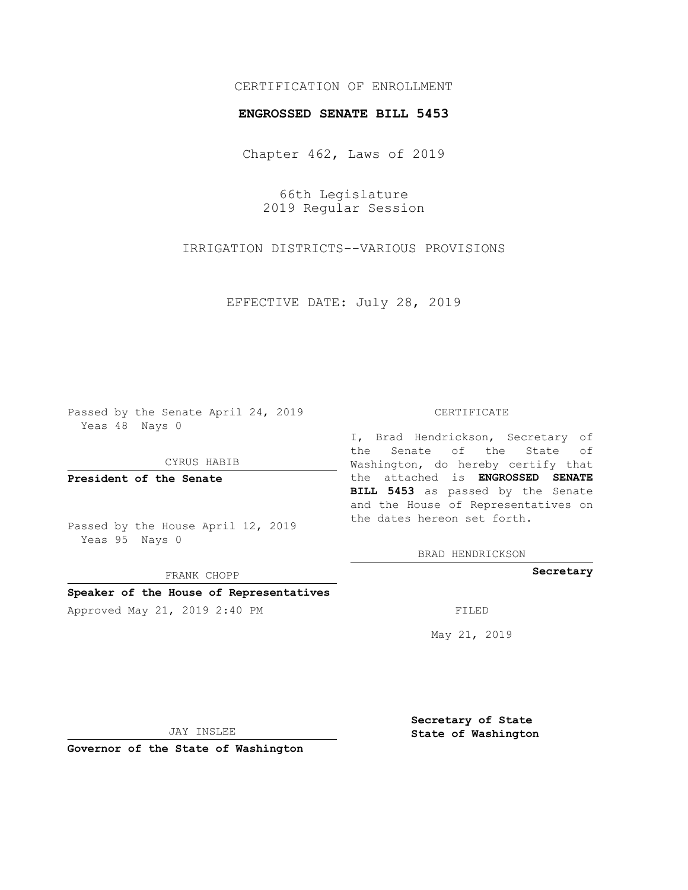# CERTIFICATION OF ENROLLMENT

#### **ENGROSSED SENATE BILL 5453**

Chapter 462, Laws of 2019

66th Legislature 2019 Regular Session

IRRIGATION DISTRICTS--VARIOUS PROVISIONS

EFFECTIVE DATE: July 28, 2019

Passed by the Senate April 24, 2019 Yeas 48 Nays 0

CYRUS HABIB

**President of the Senate**

Passed by the House April 12, 2019 Yeas 95 Nays 0

FRANK CHOPP

## **Speaker of the House of Representatives**

Approved May 21, 2019 2:40 PM

#### CERTIFICATE

I, Brad Hendrickson, Secretary of the Senate of the State of Washington, do hereby certify that the attached is **ENGROSSED SENATE BILL 5453** as passed by the Senate and the House of Representatives on the dates hereon set forth.

BRAD HENDRICKSON

**Secretary**

May 21, 2019

JAY INSLEE

**Governor of the State of Washington**

**Secretary of State State of Washington**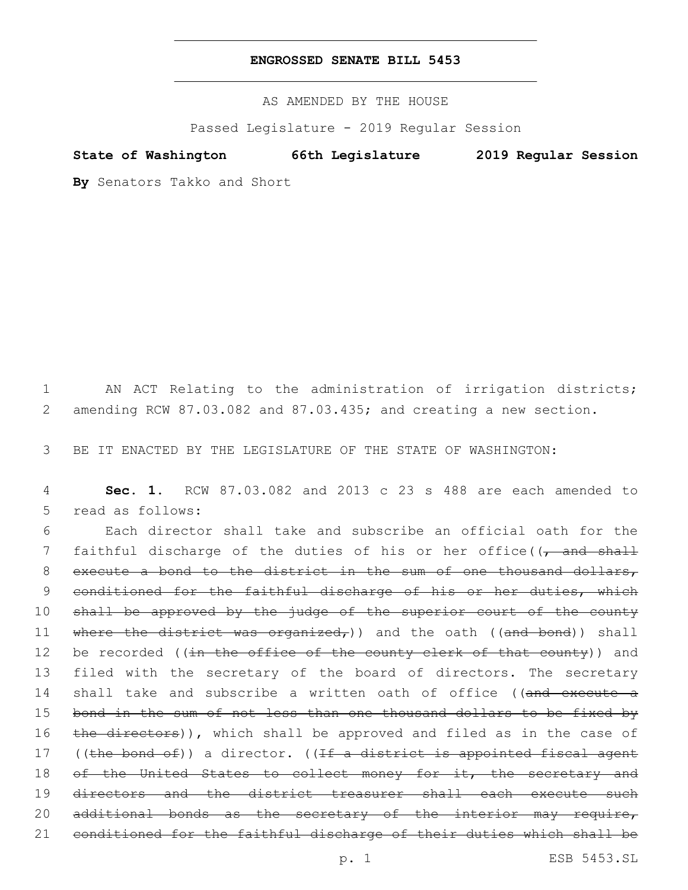## **ENGROSSED SENATE BILL 5453**

AS AMENDED BY THE HOUSE

Passed Legislature - 2019 Regular Session

**State of Washington 66th Legislature 2019 Regular Session**

**By** Senators Takko and Short

1 AN ACT Relating to the administration of irrigation districts; 2 amending RCW 87.03.082 and 87.03.435; and creating a new section.

3 BE IT ENACTED BY THE LEGISLATURE OF THE STATE OF WASHINGTON:

4 **Sec. 1.** RCW 87.03.082 and 2013 c 23 s 488 are each amended to 5 read as follows:

6 Each director shall take and subscribe an official oath for the 7 faithful discharge of the duties of his or her office( $\sqrt{$  and shall 8 execute a bond to the district in the sum of one thousand dollars, 9 conditioned for the faithful discharge of his or her duties, which 10 shall be approved by the judge of the superior court of the county 11 where the district was organized,) and the oath ((and bond)) shall 12 be recorded ((in the office of the county clerk of that county)) and 13 filed with the secretary of the board of directors. The secretary 14 shall take and subscribe a written oath of office ((and execute a 15 bond in the sum of not less than one thousand dollars to be fixed by 16 the directors)), which shall be approved and filed as in the case of 17 ((the bond of)) a director. ((If a district is appointed fiscal agent 18 of the United States to collect money for it, the secretary and 19 directors and the district treasurer shall each execute such 20 additional bonds as the secretary of the interior may require, 21 conditioned for the faithful discharge of their duties which shall be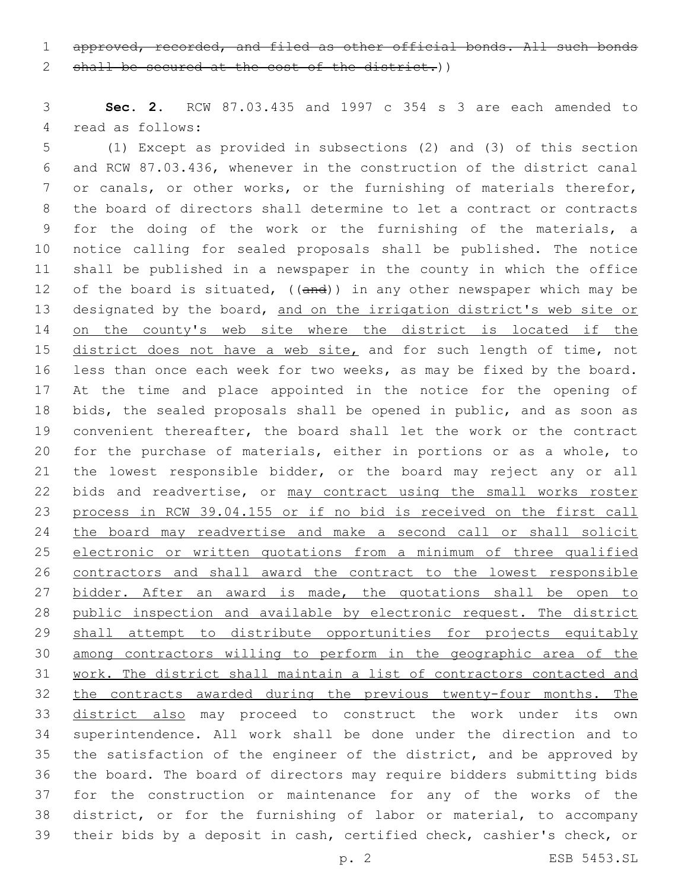approved, recorded, and filed as other official bonds. All such bonds

2 shall be secured at the cost of the district.))

 **Sec. 2.** RCW 87.03.435 and 1997 c 354 s 3 are each amended to 4 read as follows:

 (1) Except as provided in subsections (2) and (3) of this section and RCW 87.03.436, whenever in the construction of the district canal 7 or canals, or other works, or the furnishing of materials therefor, the board of directors shall determine to let a contract or contracts for the doing of the work or the furnishing of the materials, a notice calling for sealed proposals shall be published. The notice shall be published in a newspaper in the county in which the office 12 of the board is situated, ((and)) in any other newspaper which may be 13 designated by the board, and on the irrigation district's web site or 14 on the county's web site where the district is located if the 15 district does not have a web site, and for such length of time, not less than once each week for two weeks, as may be fixed by the board. At the time and place appointed in the notice for the opening of bids, the sealed proposals shall be opened in public, and as soon as convenient thereafter, the board shall let the work or the contract for the purchase of materials, either in portions or as a whole, to the lowest responsible bidder, or the board may reject any or all 22 bids and readvertise, or may contract using the small works roster process in RCW 39.04.155 or if no bid is received on the first call 24 the board may readvertise and make a second call or shall solicit electronic or written quotations from a minimum of three qualified contractors and shall award the contract to the lowest responsible 27 bidder. After an award is made, the quotations shall be open to public inspection and available by electronic request. The district 29 shall attempt to distribute opportunities for projects equitably among contractors willing to perform in the geographic area of the work. The district shall maintain a list of contractors contacted and 32 the contracts awarded during the previous twenty-four months. The district also may proceed to construct the work under its own superintendence. All work shall be done under the direction and to the satisfaction of the engineer of the district, and be approved by the board. The board of directors may require bidders submitting bids for the construction or maintenance for any of the works of the district, or for the furnishing of labor or material, to accompany their bids by a deposit in cash, certified check, cashier's check, or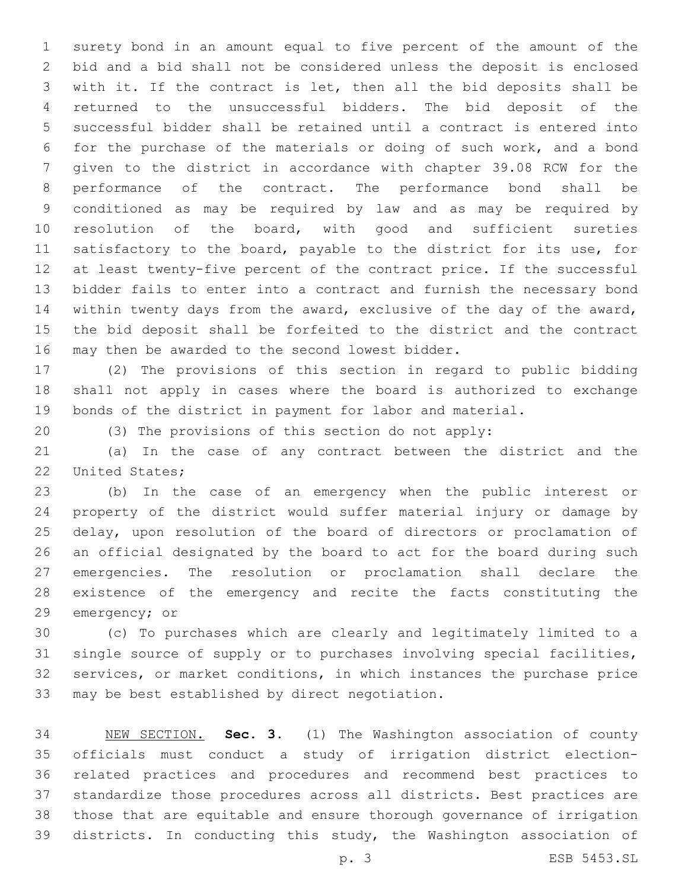surety bond in an amount equal to five percent of the amount of the bid and a bid shall not be considered unless the deposit is enclosed with it. If the contract is let, then all the bid deposits shall be returned to the unsuccessful bidders. The bid deposit of the successful bidder shall be retained until a contract is entered into for the purchase of the materials or doing of such work, and a bond given to the district in accordance with chapter 39.08 RCW for the performance of the contract. The performance bond shall be conditioned as may be required by law and as may be required by resolution of the board, with good and sufficient sureties satisfactory to the board, payable to the district for its use, for at least twenty-five percent of the contract price. If the successful bidder fails to enter into a contract and furnish the necessary bond within twenty days from the award, exclusive of the day of the award, the bid deposit shall be forfeited to the district and the contract 16 may then be awarded to the second lowest bidder.

 (2) The provisions of this section in regard to public bidding shall not apply in cases where the board is authorized to exchange bonds of the district in payment for labor and material.

(3) The provisions of this section do not apply:

 (a) In the case of any contract between the district and the 22 United States;

 (b) In the case of an emergency when the public interest or property of the district would suffer material injury or damage by delay, upon resolution of the board of directors or proclamation of an official designated by the board to act for the board during such emergencies. The resolution or proclamation shall declare the existence of the emergency and recite the facts constituting the 29 emergency; or

 (c) To purchases which are clearly and legitimately limited to a single source of supply or to purchases involving special facilities, services, or market conditions, in which instances the purchase price 33 may be best established by direct negotiation.

 NEW SECTION. **Sec. 3.** (1) The Washington association of county officials must conduct a study of irrigation district election- related practices and procedures and recommend best practices to standardize those procedures across all districts. Best practices are those that are equitable and ensure thorough governance of irrigation districts. In conducting this study, the Washington association of